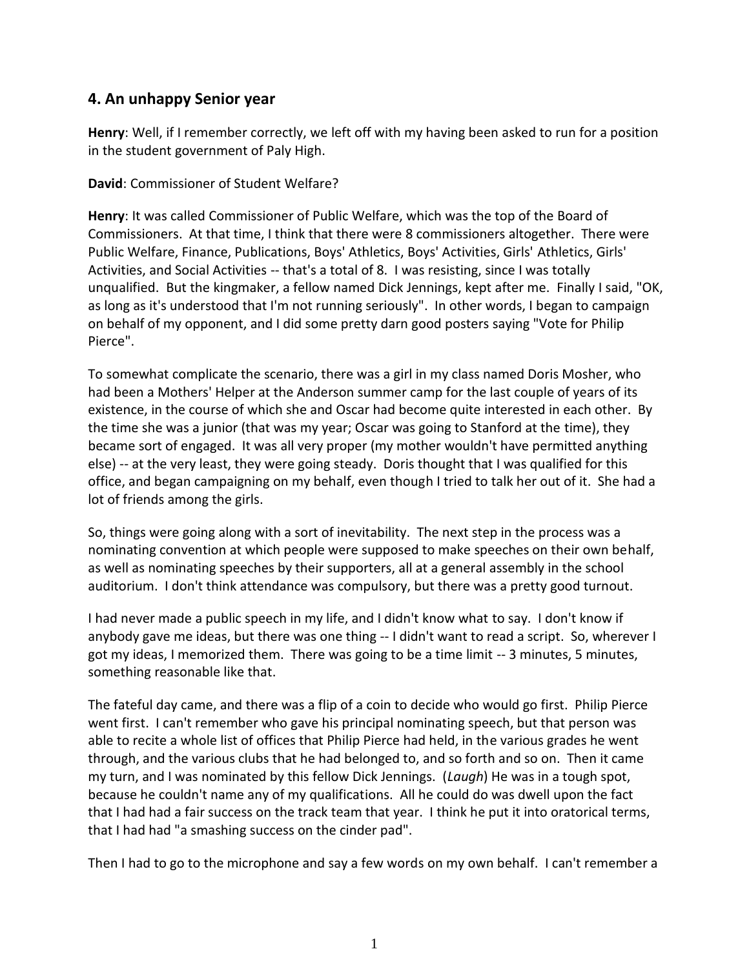## **4. An unhappy Senior year**

**Henry**: Well, if I remember correctly, we left off with my having been asked to run for a position in the student government of Paly High.

**David**: Commissioner of Student Welfare?

**Henry**: It was called Commissioner of Public Welfare, which was the top of the Board of Commissioners. At that time, I think that there were 8 commissioners altogether. There were Public Welfare, Finance, Publications, Boys' Athletics, Boys' Activities, Girls' Athletics, Girls' Activities, and Social Activities -- that's a total of 8. I was resisting, since I was totally unqualified. But the kingmaker, a fellow named Dick Jennings, kept after me. Finally I said, "OK, as long as it's understood that I'm not running seriously". In other words, I began to campaign on behalf of my opponent, and I did some pretty darn good posters saying "Vote for Philip Pierce".

To somewhat complicate the scenario, there was a girl in my class named Doris Mosher, who had been a Mothers' Helper at the Anderson summer camp for the last couple of years of its existence, in the course of which she and Oscar had become quite interested in each other. By the time she was a junior (that was my year; Oscar was going to Stanford at the time), they became sort of engaged. It was all very proper (my mother wouldn't have permitted anything else) -- at the very least, they were going steady. Doris thought that I was qualified for this office, and began campaigning on my behalf, even though I tried to talk her out of it. She had a lot of friends among the girls.

So, things were going along with a sort of inevitability. The next step in the process was a nominating convention at which people were supposed to make speeches on their own behalf, as well as nominating speeches by their supporters, all at a general assembly in the school auditorium. I don't think attendance was compulsory, but there was a pretty good turnout.

I had never made a public speech in my life, and I didn't know what to say. I don't know if anybody gave me ideas, but there was one thing -- I didn't want to read a script. So, wherever I got my ideas, I memorized them. There was going to be a time limit -- 3 minutes, 5 minutes, something reasonable like that.

The fateful day came, and there was a flip of a coin to decide who would go first. Philip Pierce went first. I can't remember who gave his principal nominating speech, but that person was able to recite a whole list of offices that Philip Pierce had held, in the various grades he went through, and the various clubs that he had belonged to, and so forth and so on. Then it came my turn, and I was nominated by this fellow Dick Jennings. (*Laugh*) He was in a tough spot, because he couldn't name any of my qualifications. All he could do was dwell upon the fact that I had had a fair success on the track team that year. I think he put it into oratorical terms, that I had had "a smashing success on the cinder pad".

Then I had to go to the microphone and say a few words on my own behalf. I can't remember a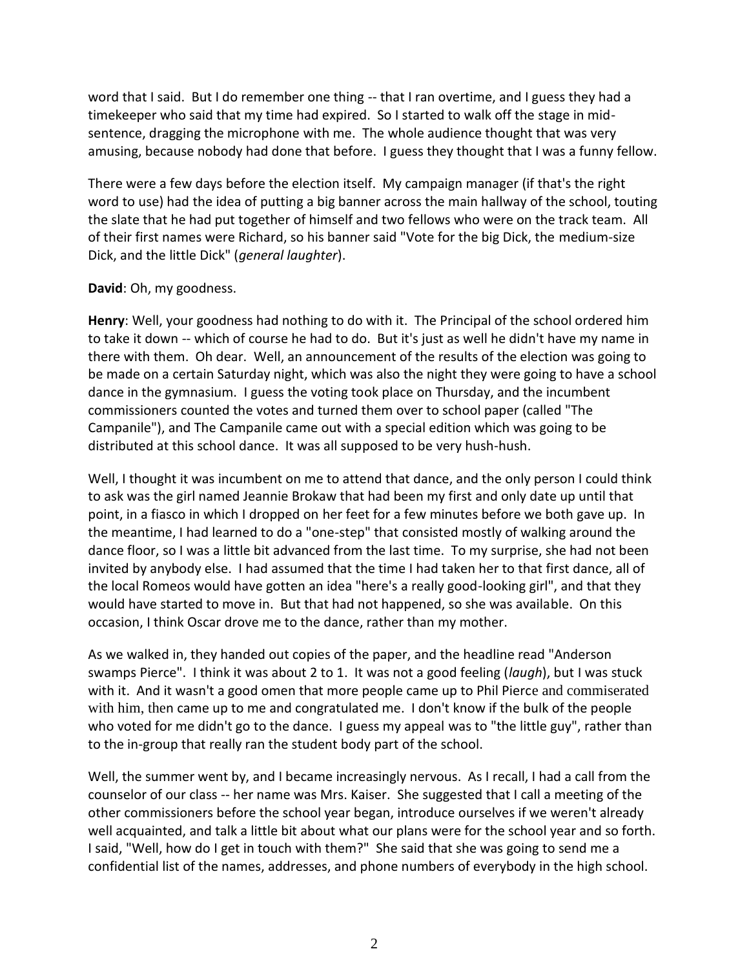word that I said. But I do remember one thing -- that I ran overtime, and I guess they had a timekeeper who said that my time had expired. So I started to walk off the stage in mid sentence, dragging the microphone with me. The whole audience thought that was very amusing, because nobody had done that before. I guess they thought that I was a funny fellow.

There were a few days before the election itself. My campaign manager (if that's the right word to use) had the idea of putting a big banner across the main hallway of the school, touting the slate that he had put together of himself and two fellows who were on the track team. All of their first names were Richard, so his banner said "Vote for the big Dick, the medium-size Dick, and the little Dick" (*general laughter*).

## **David**: Oh, my goodness.

**Henry**: Well, your goodness had nothing to do with it. The Principal of the school ordered him to take it down -- which of course he had to do. But it's just as well he didn't have my name in there with them. Oh dear. Well, an announcement of the results of the election was going to be made on a certain Saturday night, which was also the night they were going to have a school dance in the gymnasium. I guess the voting took place on Thursday, and the incumbent commissioners counted the votes and turned them over to school paper (called "The Campanile"), and The Campanile came out with a special edition which was going to be distributed at this school dance. It was all supposed to be very hush-hush.

Well, I thought it was incumbent on me to attend that dance, and the only person I could think to ask was the girl named Jeannie Brokaw that had been my first and only date up until that point, in a fiasco in which I dropped on her feet for a few minutes before we both gave up. In the meantime, I had learned to do a "one-step" that consisted mostly of walking around the dance floor, so I was a little bit advanced from the last time. To my surprise, she had not been invited by anybody else. I had assumed that the time I had taken her to that first dance, all of the local Romeos would have gotten an idea "here's a really good-looking girl", and that they would have started to move in. But that had not happened, so she was available. On this occasion, I think Oscar drove me to the dance, rather than my mother.

As we walked in, they handed out copies of the paper, and the headline read "Anderson swamps Pierce". I think it was about 2 to 1. It was not a good feeling (*laugh*), but I was stuck with it. And it wasn't a good omen that more people came up to Phil Pierce and commiserated with him, then came up to me and congratulated me. I don't know if the bulk of the people who voted for me didn't go to the dance. I guess my appeal was to "the little guy", rather than to the in-group that really ran the student body part of the school.

Well, the summer went by, and I became increasingly nervous. As I recall, I had a call from the counselor of our class -- her name was Mrs. Kaiser. She suggested that I call a meeting of the other commissioners before the school year began, introduce ourselves if we weren't already well acquainted, and talk a little bit about what our plans were for the school year and so forth. I said, "Well, how do I get in touch with them?" She said that she was going to send me a confidential list of the names, addresses, and phone numbers of everybody in the high school.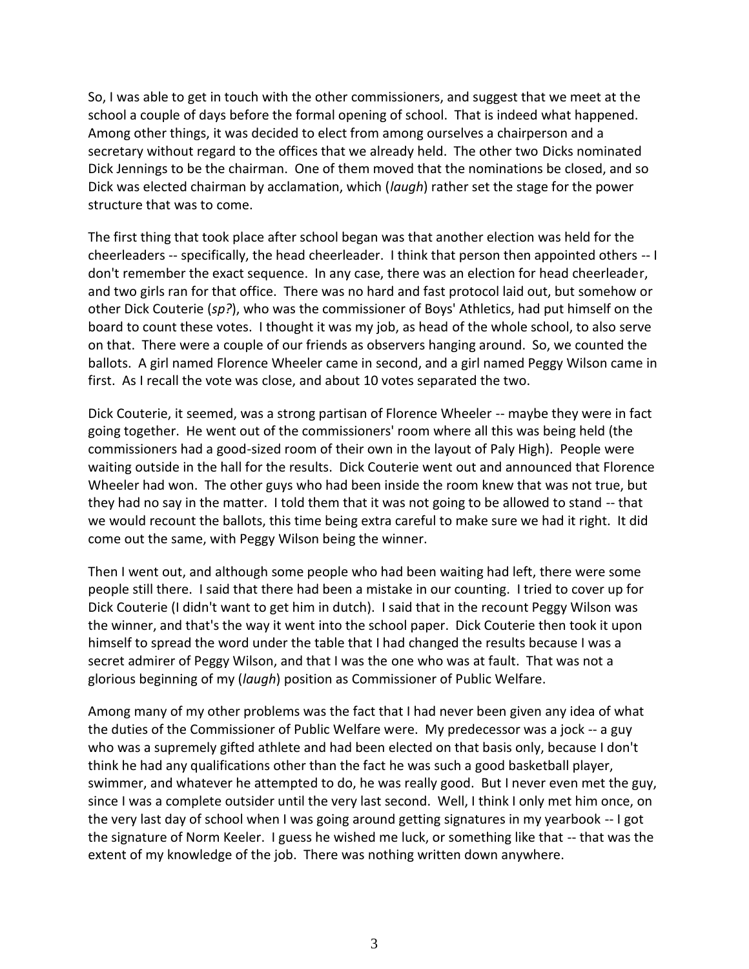So, I was able to get in touch with the other commissioners, and suggest that we meet at the school a couple of days before the formal opening of school. That is indeed what happened. Among other things, it was decided to elect from among ourselves a chairperson and a secretary without regard to the offices that we already held. The other two Dicks nominated Dick Jennings to be the chairman. One of them moved that the nominations be closed, and so Dick was elected chairman by acclamation, which (*laugh*) rather set the stage for the power structure that was to come.

The first thing that took place after school began was that another election was held for the cheerleaders -- specifically, the head cheerleader. I think that person then appointed others -- I don't remember the exact sequence. In any case, there was an election for head cheerleader, and two girls ran for that office. There was no hard and fast protocol laid out, but somehow or other Dick Couterie (*sp?*), who was the commissioner of Boys' Athletics, had put himself on the board to count these votes. I thought it was my job, as head of the whole school, to also serve on that. There were a couple of our friends as observers hanging around. So, we counted the ballots. A girl named Florence Wheeler came in second, and a girl named Peggy Wilson came in first. As I recall the vote was close, and about 10 votes separated the two.

Dick Couterie, it seemed, was a strong partisan of Florence Wheeler -- maybe they were in fact going together. He went out of the commissioners' room where all this was being held (the commissioners had a good-sized room of their own in the layout of Paly High). People were waiting outside in the hall for the results. Dick Couterie went out and announced that Florence Wheeler had won. The other guys who had been inside the room knew that was not true, but they had no say in the matter. I told them that it was not going to be allowed to stand -- that we would recount the ballots, this time being extra careful to make sure we had it right. It did come out the same, with Peggy Wilson being the winner.

Then I went out, and although some people who had been waiting had left, there were some people still there. I said that there had been a mistake in our counting. I tried to cover up for Dick Couterie (I didn't want to get him in dutch). I said that in the recount Peggy Wilson was the winner, and that's the way it went into the school paper. Dick Couterie then took it upon himself to spread the word under the table that I had changed the results because I was a secret admirer of Peggy Wilson, and that I was the one who was at fault. That was not a glorious beginning of my (*laugh*) position as Commissioner of Public Welfare.

Among many of my other problems was the fact that I had never been given any idea of what the duties of the Commissioner of Public Welfare were. My predecessor was a jock -- a guy who was a supremely gifted athlete and had been elected on that basis only, because I don't think he had any qualifications other than the fact he was such a good basketball player, swimmer, and whatever he attempted to do, he was really good. But I never even met the guy, since I was a complete outsider until the very last second. Well, I think I only met him once, on the very last day of school when I was going around getting signatures in my yearbook -- I got the signature of Norm Keeler. I guess he wished me luck, or something like that -- that was the extent of my knowledge of the job. There was nothing written down anywhere.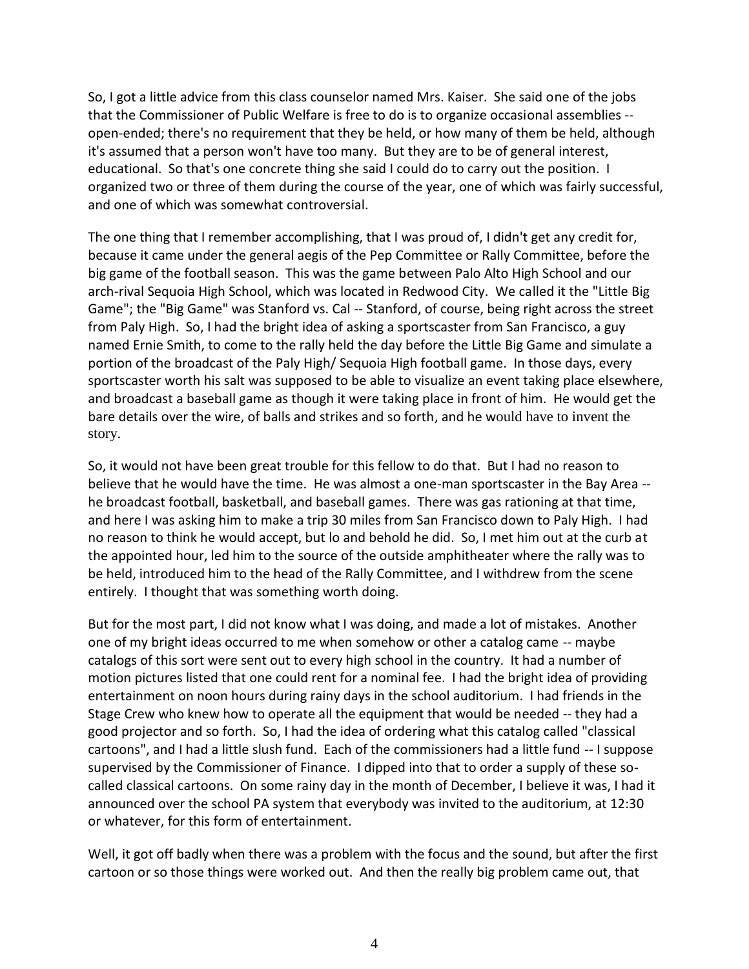So, I got a little advice from this class counselor named Mrs. Kaiser. She said one of the jobs that the Commissioner of Public Welfare is free to do is to organize occasional assemblies - open-ended; there's no requirement that they be held, or how many of them be held, although it's assumed that a person won't have too many. But they are to be of general interest, educational. So that's one concrete thing she said I could do to carry out the position. I organized two or three of them during the course of the year, one of which was fairly successful, and one of which was somewhat controversial.

The one thing that I remember accomplishing, that I was proud of, I didn't get any credit for, because it came under the general aegis of the Pep Committee or Rally Committee, before the big game of the football season. This was the game between Palo Alto High School and our arch-rival Sequoia High School, which was located in Redwood City. We called it the "Little Big Game"; the "Big Game" was Stanford vs. Cal -- Stanford, of course, being right across the street from Paly High. So, I had the bright idea of asking a sportscaster from San Francisco, a guy named Ernie Smith, to come to the rally held the day before the Little Big Game and simulate a portion of the broadcast of the Paly High/ Sequoia High football game. In those days, every sportscaster worth his salt was supposed to be able to visualize an event taking place elsewhere, and broadcast a baseball game as though it were taking place in front of him. He would get the bare details over the wire, of balls and strikes and so forth, and he would have to invent the story.

So, it would not have been great trouble for this fellow to do that. But I had no reason to believe that he would have the time. He was almost a one-man sportscaster in the Bay Area - he broadcast football, basketball, and baseball games. There was gas rationing at that time, and here I was asking him to make a trip 30 miles from San Francisco down to Paly High. I had no reason to think he would accept, but lo and behold he did. So, I met him out at the curb at the appointed hour, led him to the source of the outside amphitheater where the rally was to be held, introduced him to the head of the Rally Committee, and I withdrew from the scene entirely. I thought that was something worth doing.

But for the most part, I did not know what I was doing, and made a lot of mistakes. Another one of my bright ideas occurred to me when somehow or other a catalog came -- maybe catalogs of this sort were sent out to every high school in the country. It had a number of motion pictures listed that one could rent for a nominal fee. I had the bright idea of providing entertainment on noon hours during rainy days in the school auditorium. I had friends in the Stage Crew who knew how to operate all the equipment that would be needed -- they had a good projector and so forth. So, I had the idea of ordering what this catalog called "classical cartoons", and I had a little slush fund. Each of the commissioners had a little fund -- I suppose supervised by the Commissioner of Finance. I dipped into that to order a supply of these so called classical cartoons. On some rainy day in the month of December, I believe it was, I had it announced over the school PA system that everybody was invited to the auditorium, at 12:30 or whatever, for this form of entertainment.

Well, it got off badly when there was a problem with the focus and the sound, but after the first cartoon or so those things were worked out. And then the really big problem came out, that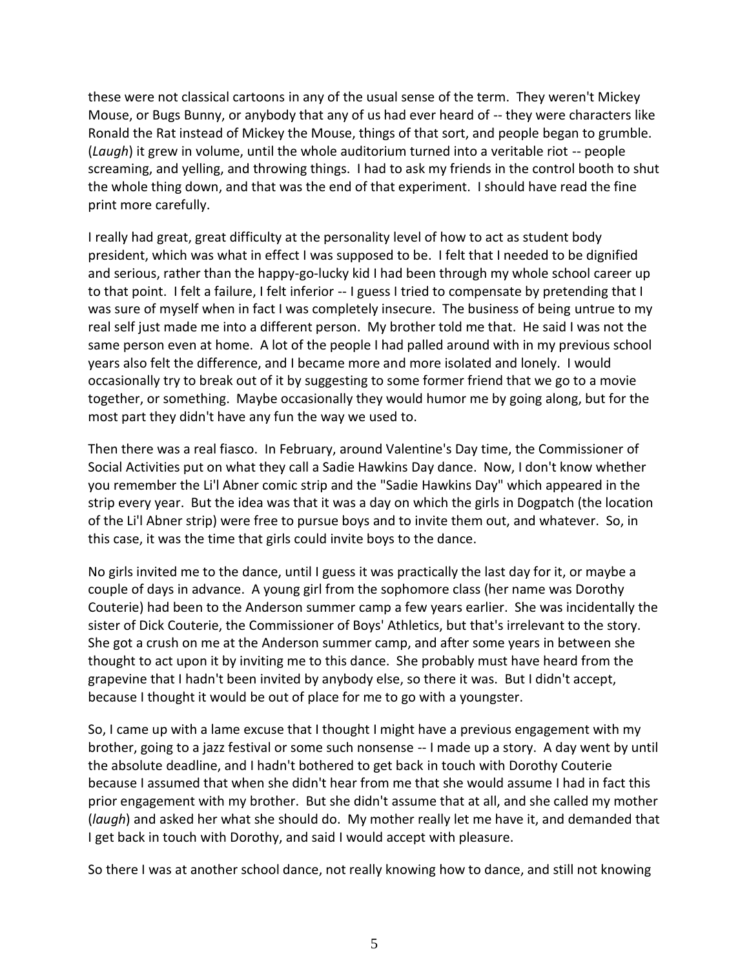these were not classical cartoons in any of the usual sense of the term. They weren't Mickey Mouse, or Bugs Bunny, or anybody that any of us had ever heard of -- they were characters like Ronald the Rat instead of Mickey the Mouse, things of that sort, and people began to grumble. (*Laugh*) it grew in volume, until the whole auditorium turned into a veritable riot -- people screaming, and yelling, and throwing things. I had to ask my friends in the control booth to shut the whole thing down, and that was the end of that experiment. I should have read the fine print more carefully.

I really had great, great difficulty at the personality level of how to act as student body president, which was what in effect I was supposed to be. I felt that I needed to be dignified and serious, rather than the happy-go-lucky kid I had been through my whole school career up to that point. I felt a failure, I felt inferior -- I guess I tried to compensate by pretending that I was sure of myself when in fact I was completely insecure. The business of being untrue to my real self just made me into a different person. My brother told me that. He said I was not the same person even at home. A lot of the people I had palled around with in my previous school years also felt the difference, and I became more and more isolated and lonely. I would occasionally try to break out of it by suggesting to some former friend that we go to a movie together, or something. Maybe occasionally they would humor me by going along, but for the most part they didn't have any fun the way we used to.

Then there was a real fiasco. In February, around Valentine's Day time, the Commissioner of Social Activities put on what they call a Sadie Hawkins Day dance. Now, I don't know whether you remember the Li'l Abner comic strip and the "Sadie Hawkins Day" which appeared in the strip every year. But the idea was that it was a day on which the girls in Dogpatch (the location of the Li'l Abner strip) were free to pursue boys and to invite them out, and whatever. So, in this case, it was the time that girls could invite boys to the dance.

No girls invited me to the dance, until I guess it was practically the last day for it, or maybe a couple of days in advance. A young girl from the sophomore class (her name was Dorothy Couterie) had been to the Anderson summer camp a few years earlier. She was incidentally the sister of Dick Couterie, the Commissioner of Boys' Athletics, but that's irrelevant to the story. She got a crush on me at the Anderson summer camp, and after some years in between she thought to act upon it by inviting me to this dance. She probably must have heard from the grapevine that I hadn't been invited by anybody else, so there it was. But I didn't accept, because I thought it would be out of place for me to go with a youngster.

So, I came up with a lame excuse that I thought I might have a previous engagement with my brother, going to a jazz festival or some such nonsense -- I made up a story. A day went by until the absolute deadline, and I hadn't bothered to get back in touch with Dorothy Couterie because I assumed that when she didn't hear from me that she would assume I had in fact this prior engagement with my brother. But she didn't assume that at all, and she called my mother (*laugh*) and asked her what she should do. My mother really let me have it, and demanded that I get back in touch with Dorothy, and said I would accept with pleasure.

So there I was at another school dance, not really knowing how to dance, and still not knowing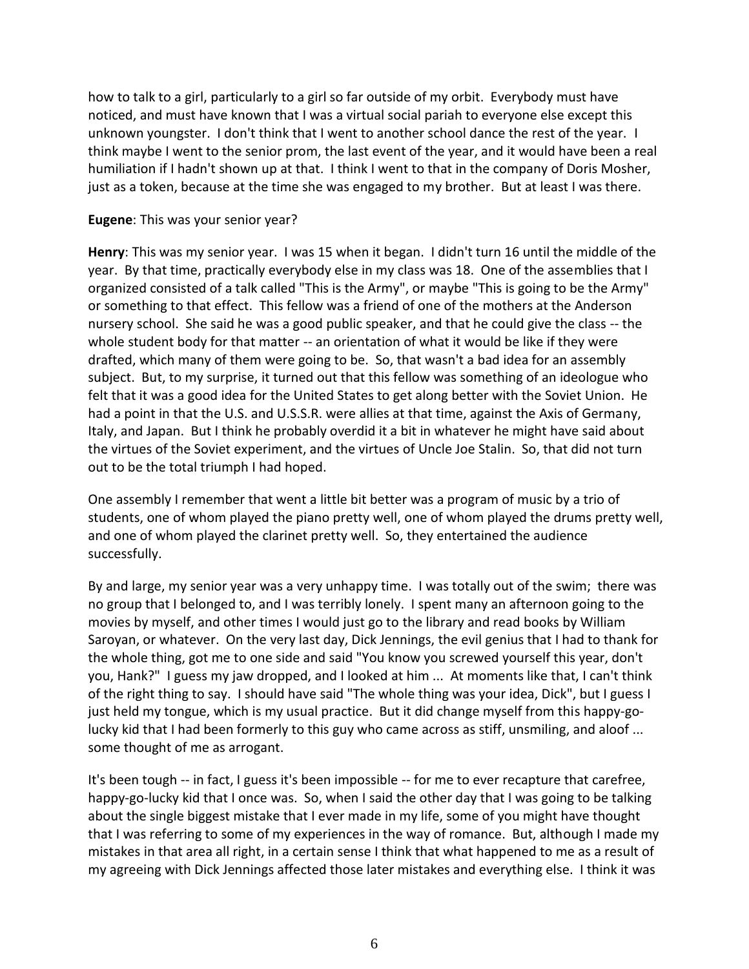how to talk to a girl, particularly to a girl so far outside of my orbit. Everybody must have noticed, and must have known that I was a virtual social pariah to everyone else except this unknown youngster. I don't think that I went to another school dance the rest of the year. I think maybe I went to the senior prom, the last event of the year, and it would have been a real humiliation if I hadn't shown up at that. I think I went to that in the company of Doris Mosher, just as a token, because at the time she was engaged to my brother. But at least I was there.

## **Eugene**: This was your senior year?

**Henry**: This was my senior year. I was 15 when it began. I didn't turn 16 until the middle of the year. By that time, practically everybody else in my class was 18. One of the assemblies that I organized consisted of a talk called "This is the Army", or maybe "This is going to be the Army" or something to that effect. This fellow was a friend of one of the mothers at the Anderson nursery school. She said he was a good public speaker, and that he could give the class -- the whole student body for that matter -- an orientation of what it would be like if they were drafted, which many of them were going to be. So, that wasn't a bad idea for an assembly subject. But, to my surprise, it turned out that this fellow was something of an ideologue who felt that it was a good idea for the United States to get along better with the Soviet Union. He had a point in that the U.S. and U.S.S.R. were allies at that time, against the Axis of Germany, Italy, and Japan. But I think he probably overdid it a bit in whatever he might have said about the virtues of the Soviet experiment, and the virtues of Uncle Joe Stalin. So, that did not turn out to be the total triumph I had hoped.

One assembly I remember that went a little bit better was a program of music by a trio of students, one of whom played the piano pretty well, one of whom played the drums pretty well, and one of whom played the clarinet pretty well. So, they entertained the audience successfully.

By and large, my senior year was a very unhappy time. I was totally out of the swim; there was no group that I belonged to, and I was terribly lonely. I spent many an afternoon going to the movies by myself, and other times I would just go to the library and read books by William Saroyan, or whatever. On the very last day, Dick Jennings, the evil genius that I had to thank for the whole thing, got me to one side and said "You know you screwed yourself this year, don't you, Hank?" I guess my jaw dropped, and I looked at him ... At moments like that, I can't think of the right thing to say. I should have said "The whole thing was your idea, Dick", but I guess I just held my tongue, which is my usual practice. But it did change myself from this happy-golucky kid that I had been formerly to this guy who came across as stiff, unsmiling, and aloof ... some thought of me as arrogant.

It's been tough -- in fact, I guess it's been impossible -- for me to ever recapture that carefree, happy-go-lucky kid that I once was. So, when I said the other day that I was going to be talking about the single biggest mistake that I ever made in my life, some of you might have thought that I was referring to some of my experiences in the way of romance. But, although I made my mistakes in that area all right, in a certain sense I think that what happened to me as a result of my agreeing with Dick Jennings affected those later mistakes and everything else. I think it was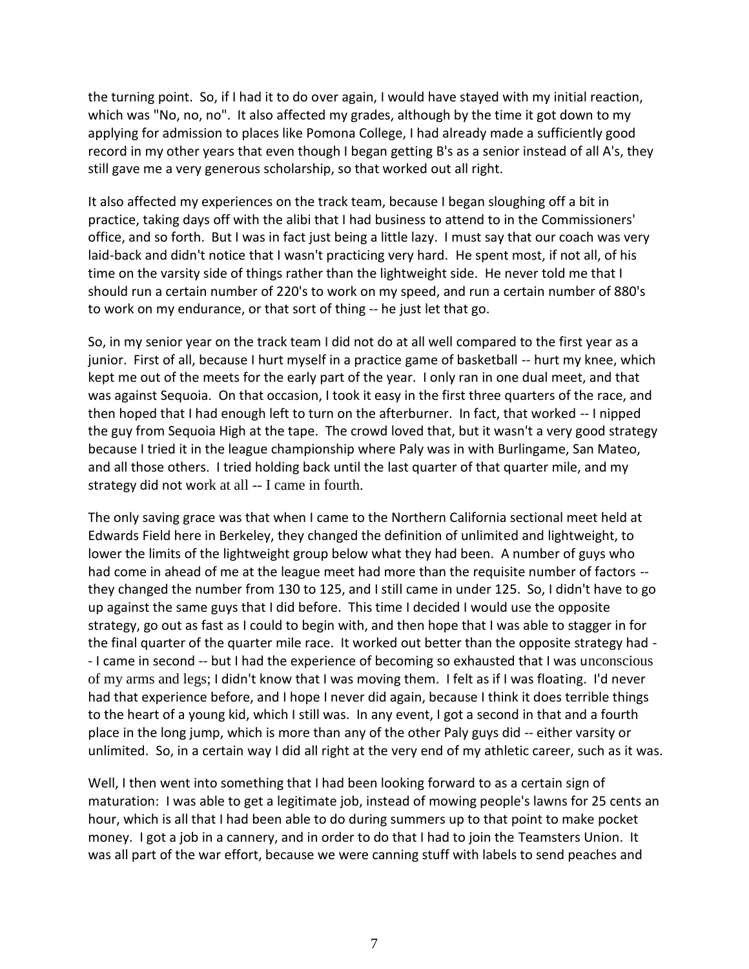the turning point. So, if I had it to do over again, I would have stayed with my initial reaction, which was "No, no, no". It also affected my grades, although by the time it got down to my applying for admission to places like Pomona College, I had already made a sufficiently good record in my other years that even though I began getting B's as a senior instead of all A's, they still gave me a very generous scholarship, so that worked out all right.

It also affected my experiences on the track team, because I began sloughing off a bit in practice, taking days off with the alibi that I had business to attend to in the Commissioners' office, and so forth. But I was in fact just being a little lazy. I must say that our coach was very laid-back and didn't notice that I wasn't practicing very hard. He spent most, if not all, of his time on the varsity side of things rather than the lightweight side. He never told me that I should run a certain number of 220's to work on my speed, and run a certain number of 880's to work on my endurance, or that sort of thing -- he just let that go.

So, in my senior year on the track team I did not do at all well compared to the first year as a junior. First of all, because I hurt myself in a practice game of basketball -- hurt my knee, which kept me out of the meets for the early part of the year. I only ran in one dual meet, and that was against Sequoia. On that occasion, I took it easy in the first three quarters of the race, and then hoped that I had enough left to turn on the afterburner. In fact, that worked -- I nipped the guy from Sequoia High at the tape. The crowd loved that, but it wasn't a very good strategy because I tried it in the league championship where Paly was in with Burlingame, San Mateo, and all those others. I tried holding back until the last quarter of that quarter mile, and my strategy did not work at all -- I came in fourth.

The only saving grace was that when I came to the Northern California sectional meet held at Edwards Field here in Berkeley, they changed the definition of unlimited and lightweight, to lower the limits of the lightweight group below what they had been. A number of guys who had come in ahead of me at the league meet had more than the requisite number of factors - they changed the number from 130 to 125, and I still came in under 125. So, I didn't have to go up against the same guys that I did before. This time I decided I would use the opposite strategy, go out as fast as I could to begin with, and then hope that I was able to stagger in for the final quarter of the quarter mile race. It worked out better than the opposite strategy had - - I came in second -- but I had the experience of becoming so exhausted that I was unconscious of my arms and legs; I didn't know that I was moving them. I felt as if I was floating. I'd never had that experience before, and I hope I never did again, because I think it does terrible things to the heart of a young kid, which I still was. In any event, I got a second in that and a fourth place in the long jump, which is more than any of the other Paly guys did -- either varsity or unlimited. So, in a certain way I did all right at the very end of my athletic career, such as it was.

Well, I then went into something that I had been looking forward to as a certain sign of maturation: I was able to get a legitimate job, instead of mowing people's lawns for 25 cents an hour, which is all that I had been able to do during summers up to that point to make pocket money. I got a job in a cannery, and in order to do that I had to join the Teamsters Union. It was all part of the war effort, because we were canning stuff with labels to send peaches and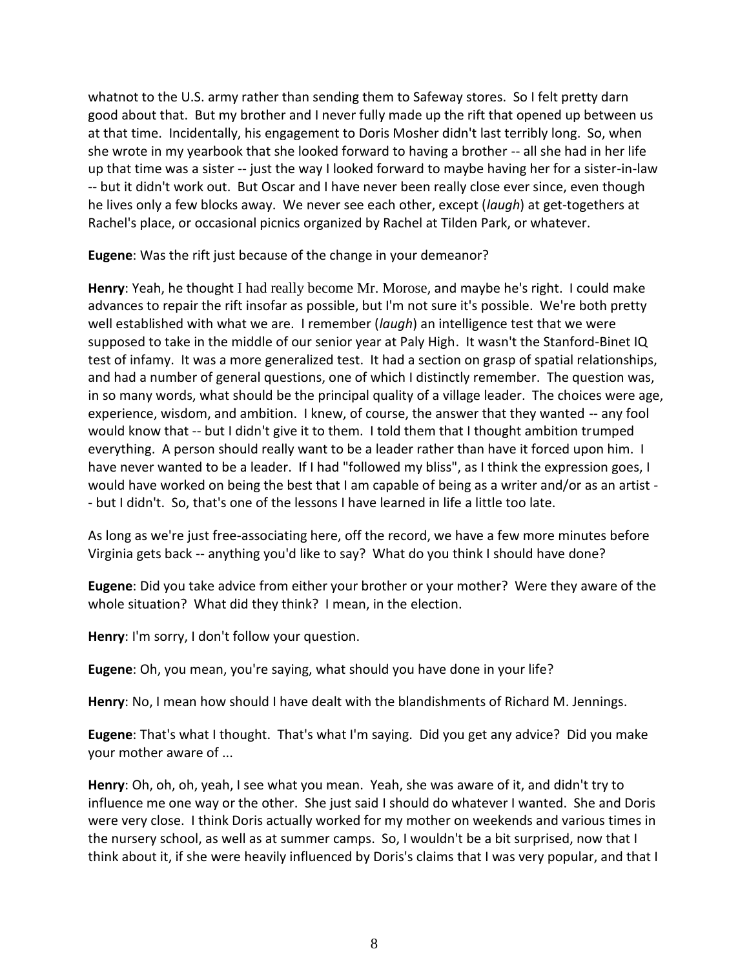whatnot to the U.S. army rather than sending them to Safeway stores. So I felt pretty darn good about that. But my brother and I never fully made up the rift that opened up between us at that time. Incidentally, his engagement to Doris Mosher didn't last terribly long. So, when she wrote in my yearbook that she looked forward to having a brother -- all she had in her life up that time was a sister -- just the way I looked forward to maybe having her for a sister-in-law -- but it didn't work out. But Oscar and I have never been really close ever since, even though he lives only a few blocks away. We never see each other, except (*laugh*) at get-togethers at Rachel's place, or occasional picnics organized by Rachel at Tilden Park, or whatever.

**Eugene**: Was the rift just because of the change in your demeanor?

**Henry**: Yeah, he thought I had really become Mr. Morose, and maybe he's right. I could make advances to repair the rift insofar as possible, but I'm not sure it's possible. We're both pretty well established with what we are. I remember (*laugh*) an intelligence test that we were supposed to take in the middle of our senior year at Paly High. It wasn't the Stanford-Binet IQ test of infamy. It was a more generalized test. It had a section on grasp of spatial relationships, and had a number of general questions, one of which I distinctly remember. The question was, in so many words, what should be the principal quality of a village leader. The choices were age, experience, wisdom, and ambition. I knew, of course, the answer that they wanted -- any fool would know that -- but I didn't give it to them. I told them that I thought ambition trumped everything. A person should really want to be a leader rather than have it forced upon him. I have never wanted to be a leader. If I had "followed my bliss", as I think the expression goes, I would have worked on being the best that I am capable of being as a writer and/or as an artist - - but I didn't. So, that's one of the lessons I have learned in life a little too late.

As long as we're just free-associating here, off the record, we have a few more minutes before Virginia gets back -- anything you'd like to say? What do you think I should have done?

**Eugene**: Did you take advice from either your brother or your mother? Were they aware of the whole situation? What did they think? I mean, in the election.

**Henry**: I'm sorry, I don't follow your question.

**Eugene**: Oh, you mean, you're saying, what should you have done in your life?

**Henry**: No, I mean how should I have dealt with the blandishments of Richard M. Jennings.

**Eugene**: That's what I thought. That's what I'm saying. Did you get any advice? Did you make your mother aware of ...

**Henry**: Oh, oh, oh, yeah, I see what you mean. Yeah, she was aware of it, and didn't try to influence me one way or the other. She just said I should do whatever I wanted. She and Doris were very close. I think Doris actually worked for my mother on weekends and various times in the nursery school, as well as at summer camps. So, I wouldn't be a bit surprised, now that I think about it, if she were heavily influenced by Doris's claims that I was very popular, and that I